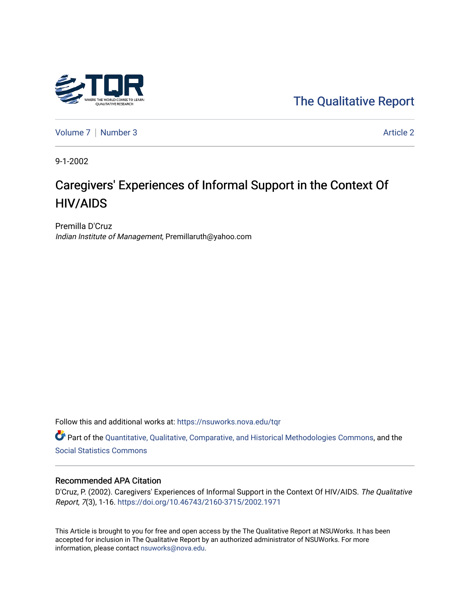

[The Qualitative Report](https://nsuworks.nova.edu/tqr) 

[Volume 7](https://nsuworks.nova.edu/tqr/vol7) | [Number 3](https://nsuworks.nova.edu/tqr/vol7/iss3) Article 2

9-1-2002

# Caregivers' Experiences of Informal Support in the Context Of HIV/AIDS

Premilla D'Cruz Indian Institute of Management, Premillaruth@yahoo.com

Follow this and additional works at: [https://nsuworks.nova.edu/tqr](https://nsuworks.nova.edu/tqr?utm_source=nsuworks.nova.edu%2Ftqr%2Fvol7%2Fiss3%2F2&utm_medium=PDF&utm_campaign=PDFCoverPages) 

Part of the [Quantitative, Qualitative, Comparative, and Historical Methodologies Commons,](http://network.bepress.com/hgg/discipline/423?utm_source=nsuworks.nova.edu%2Ftqr%2Fvol7%2Fiss3%2F2&utm_medium=PDF&utm_campaign=PDFCoverPages) and the [Social Statistics Commons](http://network.bepress.com/hgg/discipline/1275?utm_source=nsuworks.nova.edu%2Ftqr%2Fvol7%2Fiss3%2F2&utm_medium=PDF&utm_campaign=PDFCoverPages) 

#### Recommended APA Citation

D'Cruz, P. (2002). Caregivers' Experiences of Informal Support in the Context Of HIV/AIDS. The Qualitative Report, 7(3), 1-16.<https://doi.org/10.46743/2160-3715/2002.1971>

This Article is brought to you for free and open access by the The Qualitative Report at NSUWorks. It has been accepted for inclusion in The Qualitative Report by an authorized administrator of NSUWorks. For more information, please contact [nsuworks@nova.edu.](mailto:nsuworks@nova.edu)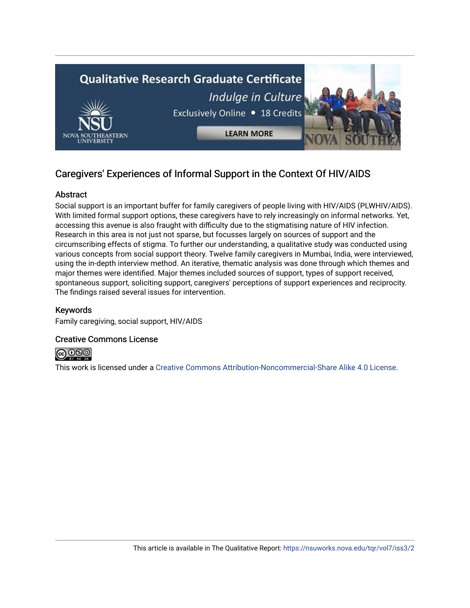

# Caregivers' Experiences of Informal Support in the Context Of HIV/AIDS

## Abstract

Social support is an important buffer for family caregivers of people living with HIV/AIDS (PLWHIV/AIDS). With limited formal support options, these caregivers have to rely increasingly on informal networks. Yet, accessing this avenue is also fraught with difficulty due to the stigmatising nature of HIV infection. Research in this area is not just not sparse, but focusses largely on sources of support and the circumscribing effects of stigma. To further our understanding, a qualitative study was conducted using various concepts from social support theory. Twelve family caregivers in Mumbai, India, were interviewed, using the in-depth interview method. An iterative, thematic analysis was done through which themes and major themes were identified. Major themes included sources of support, types of support received, spontaneous support, soliciting support, caregivers' perceptions of support experiences and reciprocity. The findings raised several issues for intervention.

## Keywords

Family caregiving, social support, HIV/AIDS

#### Creative Commons License



This work is licensed under a [Creative Commons Attribution-Noncommercial-Share Alike 4.0 License](https://creativecommons.org/licenses/by-nc-sa/4.0/).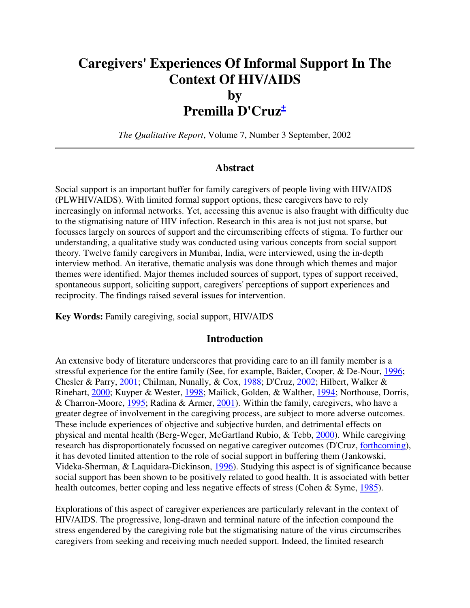# **Caregivers' Experiences Of Informal Support In The Context Of HIV/AIDS by Premilla D'Cruz<sup>+</sup>**

*The Qualitative Report*, Volume 7, Number 3 September, 2002

#### **Abstract**

Social support is an important buffer for family caregivers of people living with HIV/AIDS (PLWHIV/AIDS). With limited formal support options, these caregivers have to rely increasingly on informal networks. Yet, accessing this avenue is also fraught with difficulty due to the stigmatising nature of HIV infection. Research in this area is not just not sparse, but focusses largely on sources of support and the circumscribing effects of stigma. To further our understanding, a qualitative study was conducted using various concepts from social support theory. Twelve family caregivers in Mumbai, India, were interviewed, using the in-depth interview method. An iterative, thematic analysis was done through which themes and major themes were identified. Major themes included sources of support, types of support received, spontaneous support, soliciting support, caregivers' perceptions of support experiences and reciprocity. The findings raised several issues for intervention.

**Key Words:** Family caregiving, social support, HIV/AIDS

#### **Introduction**

An extensive body of literature underscores that providing care to an ill family member is a stressful experience for the entire family (See, for example, Baider, Cooper, & De-Nour, 1996; Chesler & Parry, 2001; Chilman, Nunally, & Cox, 1988; D'Cruz, 2002; Hilbert, Walker & Rinehart, 2000; Kuyper & Wester, 1998; Mailick, Golden, & Walther, 1994; Northouse, Dorris, & Charron-Moore, 1995; Radina & Armer, 2001). Within the family, caregivers, who have a greater degree of involvement in the caregiving process, are subject to more adverse outcomes. These include experiences of objective and subjective burden, and detrimental effects on physical and mental health (Berg-Weger, McGartland Rubio, & Tebb, 2000). While caregiving research has disproportionately focussed on negative caregiver outcomes (D'Cruz, forthcoming), it has devoted limited attention to the role of social support in buffering them (Jankowski, Videka-Sherman, & Laquidara-Dickinson, 1996). Studying this aspect is of significance because social support has been shown to be positively related to good health. It is associated with better health outcomes, better coping and less negative effects of stress (Cohen & Syme, 1985).

Explorations of this aspect of caregiver experiences are particularly relevant in the context of HIV/AIDS. The progressive, long-drawn and terminal nature of the infection compound the stress engendered by the caregiving role but the stigmatising nature of the virus circumscribes caregivers from seeking and receiving much needed support. Indeed, the limited research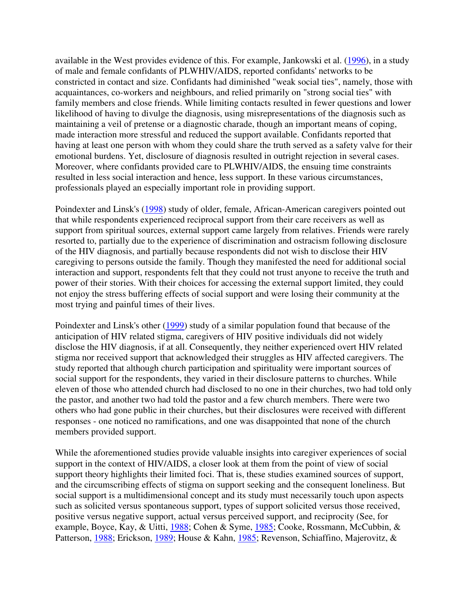available in the West provides evidence of this. For example, Jankowski et al. (1996), in a study of male and female confidants of PLWHIV/AIDS, reported confidants' networks to be constricted in contact and size. Confidants had diminished "weak social ties", namely, those with acquaintances, co-workers and neighbours, and relied primarily on "strong social ties" with family members and close friends. While limiting contacts resulted in fewer questions and lower likelihood of having to divulge the diagnosis, using misrepresentations of the diagnosis such as maintaining a veil of pretense or a diagnostic charade, though an important means of coping, made interaction more stressful and reduced the support available. Confidants reported that having at least one person with whom they could share the truth served as a safety valve for their emotional burdens. Yet, disclosure of diagnosis resulted in outright rejection in several cases. Moreover, where confidants provided care to PLWHIV/AIDS, the ensuing time constraints resulted in less social interaction and hence, less support. In these various circumstances, professionals played an especially important role in providing support.

Poindexter and Linsk's (1998) study of older, female, African-American caregivers pointed out that while respondents experienced reciprocal support from their care receivers as well as support from spiritual sources, external support came largely from relatives. Friends were rarely resorted to, partially due to the experience of discrimination and ostracism following disclosure of the HIV diagnosis, and partially because respondents did not wish to disclose their HIV caregiving to persons outside the family. Though they manifested the need for additional social interaction and support, respondents felt that they could not trust anyone to receive the truth and power of their stories. With their choices for accessing the external support limited, they could not enjoy the stress buffering effects of social support and were losing their community at the most trying and painful times of their lives.

Poindexter and Linsk's other (1999) study of a similar population found that because of the anticipation of HIV related stigma, caregivers of HIV positive individuals did not widely disclose the HIV diagnosis, if at all. Consequently, they neither experienced overt HIV related stigma nor received support that acknowledged their struggles as HIV affected caregivers. The study reported that although church participation and spirituality were important sources of social support for the respondents, they varied in their disclosure patterns to churches. While eleven of those who attended church had disclosed to no one in their churches, two had told only the pastor, and another two had told the pastor and a few church members. There were two others who had gone public in their churches, but their disclosures were received with different responses - one noticed no ramifications, and one was disappointed that none of the church members provided support.

While the aforementioned studies provide valuable insights into caregiver experiences of social support in the context of HIV/AIDS, a closer look at them from the point of view of social support theory highlights their limited foci. That is, these studies examined sources of support, and the circumscribing effects of stigma on support seeking and the consequent loneliness. But social support is a multidimensional concept and its study must necessarily touch upon aspects such as solicited versus spontaneous support, types of support solicited versus those received, positive versus negative support, actual versus perceived support, and reciprocity (See, for example, Boyce, Kay, & Uitti, 1988; Cohen & Syme, 1985; Cooke, Rossmann, McCubbin, & Patterson, 1988; Erickson, 1989; House & Kahn, 1985; Revenson, Schiaffino, Majerovitz, &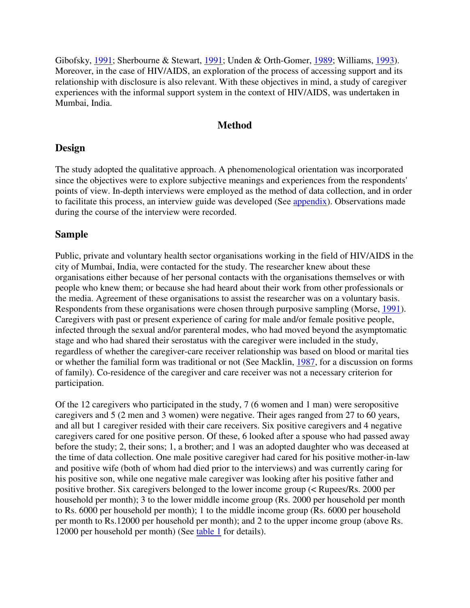Gibofsky, 1991; Sherbourne & Stewart, 1991; Unden & Orth-Gomer, 1989; Williams, 1993). Moreover, in the case of HIV/AIDS, an exploration of the process of accessing support and its relationship with disclosure is also relevant. With these objectives in mind, a study of caregiver experiences with the informal support system in the context of HIV/AIDS, was undertaken in Mumbai, India.

## **Method**

## **Design**

The study adopted the qualitative approach. A phenomenological orientation was incorporated since the objectives were to explore subjective meanings and experiences from the respondents' points of view. In-depth interviews were employed as the method of data collection, and in order to facilitate this process, an interview guide was developed (See appendix). Observations made during the course of the interview were recorded.

## **Sample**

Public, private and voluntary health sector organisations working in the field of HIV/AIDS in the city of Mumbai, India, were contacted for the study. The researcher knew about these organisations either because of her personal contacts with the organisations themselves or with people who knew them; or because she had heard about their work from other professionals or the media. Agreement of these organisations to assist the researcher was on a voluntary basis. Respondents from these organisations were chosen through purposive sampling (Morse, 1991). Caregivers with past or present experience of caring for male and/or female positive people, infected through the sexual and/or parenteral modes, who had moved beyond the asymptomatic stage and who had shared their serostatus with the caregiver were included in the study, regardless of whether the caregiver-care receiver relationship was based on blood or marital ties or whether the familial form was traditional or not (See Macklin, 1987, for a discussion on forms of family). Co-residence of the caregiver and care receiver was not a necessary criterion for participation.

Of the 12 caregivers who participated in the study, 7 (6 women and 1 man) were seropositive caregivers and 5 (2 men and 3 women) were negative. Their ages ranged from 27 to 60 years, and all but 1 caregiver resided with their care receivers. Six positive caregivers and 4 negative caregivers cared for one positive person. Of these, 6 looked after a spouse who had passed away before the study; 2, their sons; 1, a brother; and 1 was an adopted daughter who was deceased at the time of data collection. One male positive caregiver had cared for his positive mother-in-law and positive wife (both of whom had died prior to the interviews) and was currently caring for his positive son, while one negative male caregiver was looking after his positive father and positive brother. Six caregivers belonged to the lower income group (< Rupees/Rs. 2000 per household per month); 3 to the lower middle income group (Rs. 2000 per household per month to Rs. 6000 per household per month); 1 to the middle income group (Rs. 6000 per household per month to Rs.12000 per household per month); and 2 to the upper income group (above Rs. 12000 per household per month) (See table 1 for details).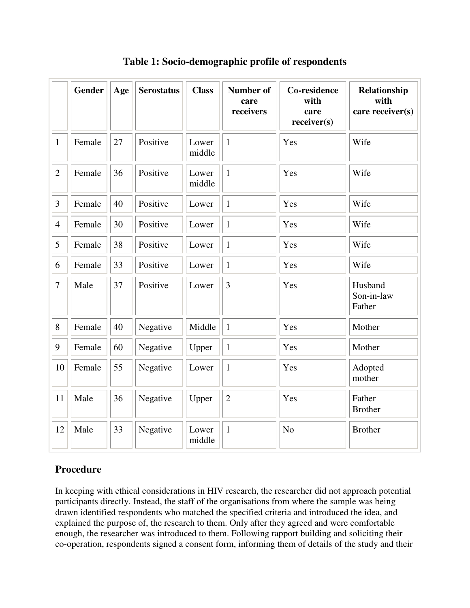|                  | <b>Gender</b> | Age | <b>Serostatus</b> | <b>Class</b>    | <b>Number of</b><br>care<br>receivers | <b>Co-residence</b><br>with<br>care<br>receiver(s) | Relationship<br>with<br>care receiver(s) |
|------------------|---------------|-----|-------------------|-----------------|---------------------------------------|----------------------------------------------------|------------------------------------------|
| $\mathbf{1}$     | Female        | 27  | Positive          | Lower<br>middle | $\mathbf{1}$                          | Yes                                                | Wife                                     |
| $\overline{2}$   | Female        | 36  | Positive          | Lower<br>middle | $\mathbf{1}$                          | Yes                                                | Wife                                     |
| 3                | Female        | 40  | Positive          | Lower           | $\mathbf{1}$                          | Yes                                                | Wife                                     |
| $\overline{4}$   | Female        | 30  | Positive          | Lower           | $\mathbf{1}$                          | Yes                                                | Wife                                     |
| 5                | Female        | 38  | Positive          | Lower           | $\mathbf{1}$                          | Yes                                                | Wife                                     |
| 6                | Female        | 33  | Positive          | Lower           | $\mathbf{1}$                          | Yes                                                | Wife                                     |
| $\boldsymbol{7}$ | Male          | 37  | Positive          | Lower           | 3                                     | Yes                                                | Husband<br>Son-in-law<br>Father          |
| 8                | Female        | 40  | Negative          | Middle          | $\mathbf{1}$                          | Yes                                                | Mother                                   |
| 9                | Female        | 60  | Negative          | Upper           | $\mathbf{1}$                          | Yes                                                | Mother                                   |
| 10               | Female        | 55  | Negative          | Lower           | $\mathbf{1}$                          | Yes                                                | Adopted<br>mother                        |
| 11               | Male          | 36  | Negative          | Upper           | $\overline{2}$                        | Yes                                                | Father<br><b>Brother</b>                 |
| 12               | Male          | 33  | Negative          | Lower<br>middle | $\mathbf{1}$                          | N <sub>o</sub>                                     | <b>Brother</b>                           |

**Table 1: Socio-demographic profile of respondents** 

# **Procedure**

In keeping with ethical considerations in HIV research, the researcher did not approach potential participants directly. Instead, the staff of the organisations from where the sample was being drawn identified respondents who matched the specified criteria and introduced the idea, and explained the purpose of, the research to them. Only after they agreed and were comfortable enough, the researcher was introduced to them. Following rapport building and soliciting their co-operation, respondents signed a consent form, informing them of details of the study and their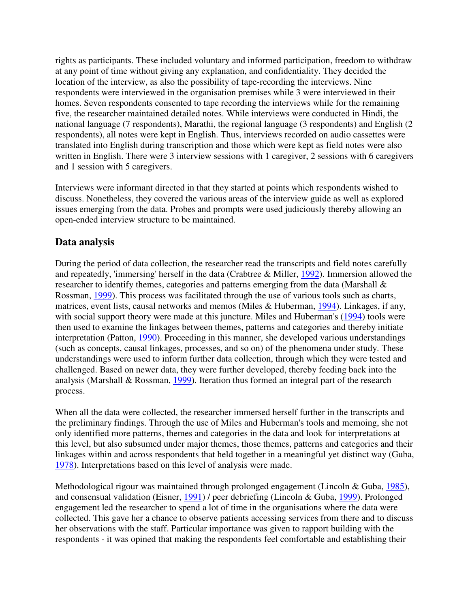rights as participants. These included voluntary and informed participation, freedom to withdraw at any point of time without giving any explanation, and confidentiality. They decided the location of the interview, as also the possibility of tape-recording the interviews. Nine respondents were interviewed in the organisation premises while 3 were interviewed in their homes. Seven respondents consented to tape recording the interviews while for the remaining five, the researcher maintained detailed notes. While interviews were conducted in Hindi, the national language (7 respondents), Marathi, the regional language (3 respondents) and English (2 respondents), all notes were kept in English. Thus, interviews recorded on audio cassettes were translated into English during transcription and those which were kept as field notes were also written in English. There were 3 interview sessions with 1 caregiver, 2 sessions with 6 caregivers and 1 session with 5 caregivers.

Interviews were informant directed in that they started at points which respondents wished to discuss. Nonetheless, they covered the various areas of the interview guide as well as explored issues emerging from the data. Probes and prompts were used judiciously thereby allowing an open-ended interview structure to be maintained.

# **Data analysis**

During the period of data collection, the researcher read the transcripts and field notes carefully and repeatedly, 'immersing' herself in the data (Crabtree & Miller, 1992). Immersion allowed the researcher to identify themes, categories and patterns emerging from the data (Marshall & Rossman, 1999). This process was facilitated through the use of various tools such as charts, matrices, event lists, causal networks and memos (Miles & Huberman, 1994). Linkages, if any, with social support theory were made at this juncture. Miles and Huberman's (1994) tools were then used to examine the linkages between themes, patterns and categories and thereby initiate interpretation (Patton, 1990). Proceeding in this manner, she developed various understandings (such as concepts, causal linkages, processes, and so on) of the phenomena under study. These understandings were used to inform further data collection, through which they were tested and challenged. Based on newer data, they were further developed, thereby feeding back into the analysis (Marshall & Rossman, 1999). Iteration thus formed an integral part of the research process.

When all the data were collected, the researcher immersed herself further in the transcripts and the preliminary findings. Through the use of Miles and Huberman's tools and memoing, she not only identified more patterns, themes and categories in the data and look for interpretations at this level, but also subsumed under major themes, those themes, patterns and categories and their linkages within and across respondents that held together in a meaningful yet distinct way (Guba, 1978). Interpretations based on this level of analysis were made.

Methodological rigour was maintained through prolonged engagement (Lincoln & Guba, 1985), and consensual validation (Eisner, 1991) / peer debriefing (Lincoln & Guba, 1999). Prolonged engagement led the researcher to spend a lot of time in the organisations where the data were collected. This gave her a chance to observe patients accessing services from there and to discuss her observations with the staff. Particular importance was given to rapport building with the respondents - it was opined that making the respondents feel comfortable and establishing their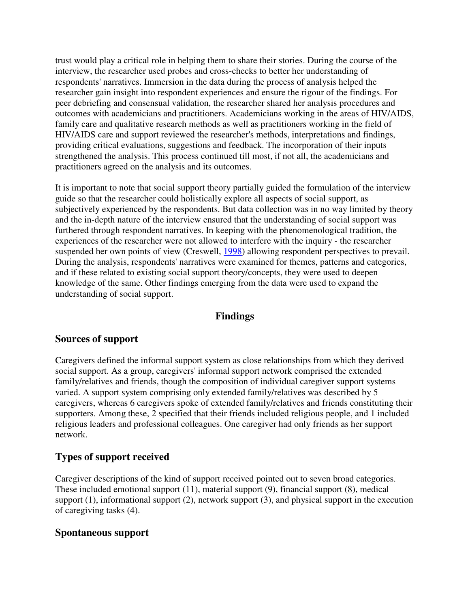trust would play a critical role in helping them to share their stories. During the course of the interview, the researcher used probes and cross-checks to better her understanding of respondents' narratives. Immersion in the data during the process of analysis helped the researcher gain insight into respondent experiences and ensure the rigour of the findings. For peer debriefing and consensual validation, the researcher shared her analysis procedures and outcomes with academicians and practitioners. Academicians working in the areas of HIV/AIDS, family care and qualitative research methods as well as practitioners working in the field of HIV/AIDS care and support reviewed the researcher's methods, interpretations and findings, providing critical evaluations, suggestions and feedback. The incorporation of their inputs strengthened the analysis. This process continued till most, if not all, the academicians and practitioners agreed on the analysis and its outcomes.

It is important to note that social support theory partially guided the formulation of the interview guide so that the researcher could holistically explore all aspects of social support, as subjectively experienced by the respondents. But data collection was in no way limited by theory and the in-depth nature of the interview ensured that the understanding of social support was furthered through respondent narratives. In keeping with the phenomenological tradition, the experiences of the researcher were not allowed to interfere with the inquiry - the researcher suspended her own points of view (Creswell, 1998) allowing respondent perspectives to prevail. During the analysis, respondents' narratives were examined for themes, patterns and categories, and if these related to existing social support theory/concepts, they were used to deepen knowledge of the same. Other findings emerging from the data were used to expand the understanding of social support.

# **Findings**

# **Sources of support**

Caregivers defined the informal support system as close relationships from which they derived social support. As a group, caregivers' informal support network comprised the extended family/relatives and friends, though the composition of individual caregiver support systems varied. A support system comprising only extended family/relatives was described by 5 caregivers, whereas 6 caregivers spoke of extended family/relatives and friends constituting their supporters. Among these, 2 specified that their friends included religious people, and 1 included religious leaders and professional colleagues. One caregiver had only friends as her support network.

# **Types of support received**

Caregiver descriptions of the kind of support received pointed out to seven broad categories. These included emotional support (11), material support (9), financial support (8), medical support (1), informational support (2), network support (3), and physical support in the execution of caregiving tasks (4).

## **Spontaneous support**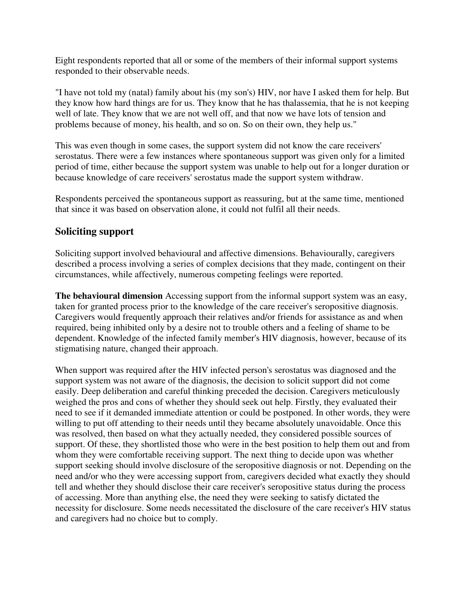Eight respondents reported that all or some of the members of their informal support systems responded to their observable needs.

"I have not told my (natal) family about his (my son's) HIV, nor have I asked them for help. But they know how hard things are for us. They know that he has thalassemia, that he is not keeping well of late. They know that we are not well off, and that now we have lots of tension and problems because of money, his health, and so on. So on their own, they help us."

This was even though in some cases, the support system did not know the care receivers' serostatus. There were a few instances where spontaneous support was given only for a limited period of time, either because the support system was unable to help out for a longer duration or because knowledge of care receivers' serostatus made the support system withdraw.

Respondents perceived the spontaneous support as reassuring, but at the same time, mentioned that since it was based on observation alone, it could not fulfil all their needs.

# **Soliciting support**

Soliciting support involved behavioural and affective dimensions. Behaviourally, caregivers described a process involving a series of complex decisions that they made, contingent on their circumstances, while affectively, numerous competing feelings were reported.

**The behavioural dimension** Accessing support from the informal support system was an easy, taken for granted process prior to the knowledge of the care receiver's seropositive diagnosis. Caregivers would frequently approach their relatives and/or friends for assistance as and when required, being inhibited only by a desire not to trouble others and a feeling of shame to be dependent. Knowledge of the infected family member's HIV diagnosis, however, because of its stigmatising nature, changed their approach.

When support was required after the HIV infected person's serostatus was diagnosed and the support system was not aware of the diagnosis, the decision to solicit support did not come easily. Deep deliberation and careful thinking preceded the decision. Caregivers meticulously weighed the pros and cons of whether they should seek out help. Firstly, they evaluated their need to see if it demanded immediate attention or could be postponed. In other words, they were willing to put off attending to their needs until they became absolutely unavoidable. Once this was resolved, then based on what they actually needed, they considered possible sources of support. Of these, they shortlisted those who were in the best position to help them out and from whom they were comfortable receiving support. The next thing to decide upon was whether support seeking should involve disclosure of the seropositive diagnosis or not. Depending on the need and/or who they were accessing support from, caregivers decided what exactly they should tell and whether they should disclose their care receiver's seropositive status during the process of accessing. More than anything else, the need they were seeking to satisfy dictated the necessity for disclosure. Some needs necessitated the disclosure of the care receiver's HIV status and caregivers had no choice but to comply.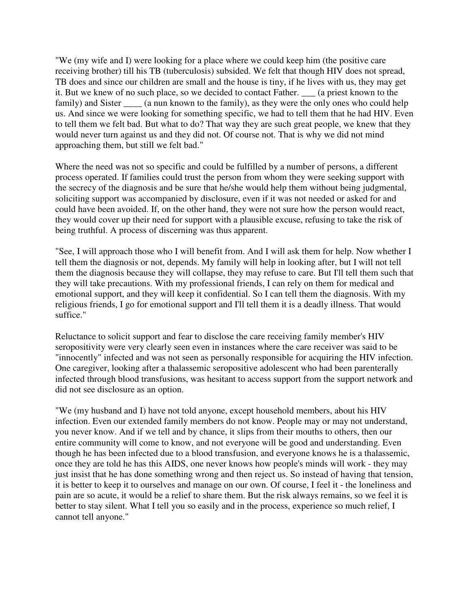"We (my wife and I) were looking for a place where we could keep him (the positive care receiving brother) till his TB (tuberculosis) subsided. We felt that though HIV does not spread, TB does and since our children are small and the house is tiny, if he lives with us, they may get it. But we knew of no such place, so we decided to contact Father. \_\_\_ (a priest known to the family) and Sister \_\_\_\_\_ (a nun known to the family), as they were the only ones who could help us. And since we were looking for something specific, we had to tell them that he had HIV. Even to tell them we felt bad. But what to do? That way they are such great people, we knew that they would never turn against us and they did not. Of course not. That is why we did not mind approaching them, but still we felt bad."

Where the need was not so specific and could be fulfilled by a number of persons, a different process operated. If families could trust the person from whom they were seeking support with the secrecy of the diagnosis and be sure that he/she would help them without being judgmental, soliciting support was accompanied by disclosure, even if it was not needed or asked for and could have been avoided. If, on the other hand, they were not sure how the person would react, they would cover up their need for support with a plausible excuse, refusing to take the risk of being truthful. A process of discerning was thus apparent.

"See, I will approach those who I will benefit from. And I will ask them for help. Now whether I tell them the diagnosis or not, depends. My family will help in looking after, but I will not tell them the diagnosis because they will collapse, they may refuse to care. But I'll tell them such that they will take precautions. With my professional friends, I can rely on them for medical and emotional support, and they will keep it confidential. So I can tell them the diagnosis. With my religious friends, I go for emotional support and I'll tell them it is a deadly illness. That would suffice."

Reluctance to solicit support and fear to disclose the care receiving family member's HIV seropositivity were very clearly seen even in instances where the care receiver was said to be "innocently" infected and was not seen as personally responsible for acquiring the HIV infection. One caregiver, looking after a thalassemic seropositive adolescent who had been parenterally infected through blood transfusions, was hesitant to access support from the support network and did not see disclosure as an option.

"We (my husband and I) have not told anyone, except household members, about his HIV infection. Even our extended family members do not know. People may or may not understand, you never know. And if we tell and by chance, it slips from their mouths to others, then our entire community will come to know, and not everyone will be good and understanding. Even though he has been infected due to a blood transfusion, and everyone knows he is a thalassemic, once they are told he has this AIDS, one never knows how people's minds will work - they may just insist that he has done something wrong and then reject us. So instead of having that tension, it is better to keep it to ourselves and manage on our own. Of course, I feel it - the loneliness and pain are so acute, it would be a relief to share them. But the risk always remains, so we feel it is better to stay silent. What I tell you so easily and in the process, experience so much relief, I cannot tell anyone."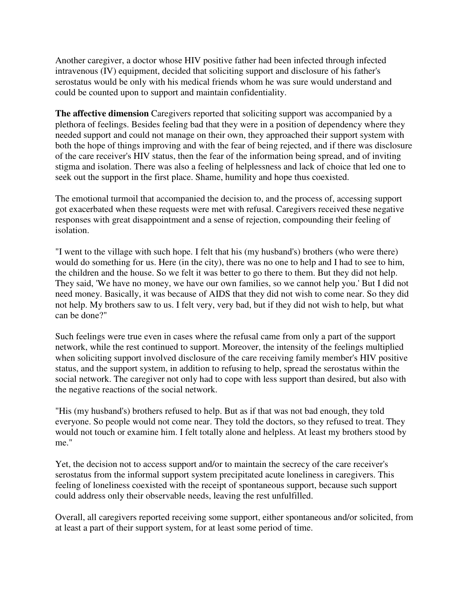Another caregiver, a doctor whose HIV positive father had been infected through infected intravenous (IV) equipment, decided that soliciting support and disclosure of his father's serostatus would be only with his medical friends whom he was sure would understand and could be counted upon to support and maintain confidentiality.

**The affective dimension** Caregivers reported that soliciting support was accompanied by a plethora of feelings. Besides feeling bad that they were in a position of dependency where they needed support and could not manage on their own, they approached their support system with both the hope of things improving and with the fear of being rejected, and if there was disclosure of the care receiver's HIV status, then the fear of the information being spread, and of inviting stigma and isolation. There was also a feeling of helplessness and lack of choice that led one to seek out the support in the first place. Shame, humility and hope thus coexisted.

The emotional turmoil that accompanied the decision to, and the process of, accessing support got exacerbated when these requests were met with refusal. Caregivers received these negative responses with great disappointment and a sense of rejection, compounding their feeling of isolation.

"I went to the village with such hope. I felt that his (my husband's) brothers (who were there) would do something for us. Here (in the city), there was no one to help and I had to see to him, the children and the house. So we felt it was better to go there to them. But they did not help. They said, 'We have no money, we have our own families, so we cannot help you.' But I did not need money. Basically, it was because of AIDS that they did not wish to come near. So they did not help. My brothers saw to us. I felt very, very bad, but if they did not wish to help, but what can be done?"

Such feelings were true even in cases where the refusal came from only a part of the support network, while the rest continued to support. Moreover, the intensity of the feelings multiplied when soliciting support involved disclosure of the care receiving family member's HIV positive status, and the support system, in addition to refusing to help, spread the serostatus within the social network. The caregiver not only had to cope with less support than desired, but also with the negative reactions of the social network.

"His (my husband's) brothers refused to help. But as if that was not bad enough, they told everyone. So people would not come near. They told the doctors, so they refused to treat. They would not touch or examine him. I felt totally alone and helpless. At least my brothers stood by me."

Yet, the decision not to access support and/or to maintain the secrecy of the care receiver's serostatus from the informal support system precipitated acute loneliness in caregivers. This feeling of loneliness coexisted with the receipt of spontaneous support, because such support could address only their observable needs, leaving the rest unfulfilled.

Overall, all caregivers reported receiving some support, either spontaneous and/or solicited, from at least a part of their support system, for at least some period of time.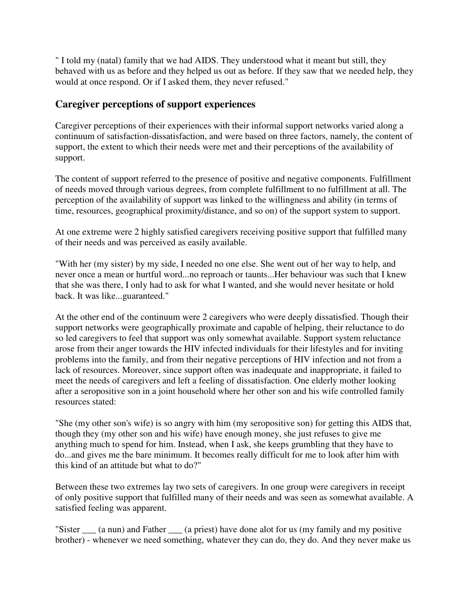" I told my (natal) family that we had AIDS. They understood what it meant but still, they behaved with us as before and they helped us out as before. If they saw that we needed help, they would at once respond. Or if I asked them, they never refused."

# **Caregiver perceptions of support experiences**

Caregiver perceptions of their experiences with their informal support networks varied along a continuum of satisfaction-dissatisfaction, and were based on three factors, namely, the content of support, the extent to which their needs were met and their perceptions of the availability of support.

The content of support referred to the presence of positive and negative components. Fulfillment of needs moved through various degrees, from complete fulfillment to no fulfillment at all. The perception of the availability of support was linked to the willingness and ability (in terms of time, resources, geographical proximity/distance, and so on) of the support system to support.

At one extreme were 2 highly satisfied caregivers receiving positive support that fulfilled many of their needs and was perceived as easily available.

"With her (my sister) by my side, I needed no one else. She went out of her way to help, and never once a mean or hurtful word...no reproach or taunts...Her behaviour was such that I knew that she was there, I only had to ask for what I wanted, and she would never hesitate or hold back. It was like...guaranteed."

At the other end of the continuum were 2 caregivers who were deeply dissatisfied. Though their support networks were geographically proximate and capable of helping, their reluctance to do so led caregivers to feel that support was only somewhat available. Support system reluctance arose from their anger towards the HIV infected individuals for their lifestyles and for inviting problems into the family, and from their negative perceptions of HIV infection and not from a lack of resources. Moreover, since support often was inadequate and inappropriate, it failed to meet the needs of caregivers and left a feeling of dissatisfaction. One elderly mother looking after a seropositive son in a joint household where her other son and his wife controlled family resources stated:

"She (my other son's wife) is so angry with him (my seropositive son) for getting this AIDS that, though they (my other son and his wife) have enough money, she just refuses to give me anything much to spend for him. Instead, when I ask, she keeps grumbling that they have to do...and gives me the bare minimum. It becomes really difficult for me to look after him with this kind of an attitude but what to do?"

Between these two extremes lay two sets of caregivers. In one group were caregivers in receipt of only positive support that fulfilled many of their needs and was seen as somewhat available. A satisfied feeling was apparent.

"Sister (a nun) and Father (a priest) have done alot for us (my family and my positive brother) - whenever we need something, whatever they can do, they do. And they never make us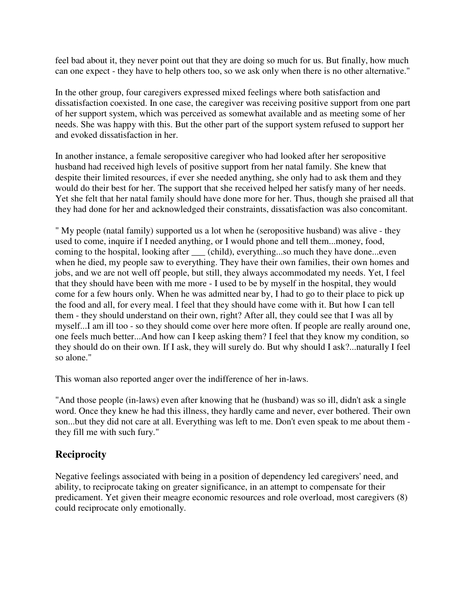feel bad about it, they never point out that they are doing so much for us. But finally, how much can one expect - they have to help others too, so we ask only when there is no other alternative."

In the other group, four caregivers expressed mixed feelings where both satisfaction and dissatisfaction coexisted. In one case, the caregiver was receiving positive support from one part of her support system, which was perceived as somewhat available and as meeting some of her needs. She was happy with this. But the other part of the support system refused to support her and evoked dissatisfaction in her.

In another instance, a female seropositive caregiver who had looked after her seropositive husband had received high levels of positive support from her natal family. She knew that despite their limited resources, if ever she needed anything, she only had to ask them and they would do their best for her. The support that she received helped her satisfy many of her needs. Yet she felt that her natal family should have done more for her. Thus, though she praised all that they had done for her and acknowledged their constraints, dissatisfaction was also concomitant.

" My people (natal family) supported us a lot when he (seropositive husband) was alive - they used to come, inquire if I needed anything, or I would phone and tell them...money, food, coming to the hospital, looking after \_\_\_ (child), everything...so much they have done...even when he died, my people saw to everything. They have their own families, their own homes and jobs, and we are not well off people, but still, they always accommodated my needs. Yet, I feel that they should have been with me more - I used to be by myself in the hospital, they would come for a few hours only. When he was admitted near by, I had to go to their place to pick up the food and all, for every meal. I feel that they should have come with it. But how I can tell them - they should understand on their own, right? After all, they could see that I was all by myself...I am ill too - so they should come over here more often. If people are really around one, one feels much better...And how can I keep asking them? I feel that they know my condition, so they should do on their own. If I ask, they will surely do. But why should I ask?...naturally I feel so alone."

This woman also reported anger over the indifference of her in-laws.

"And those people (in-laws) even after knowing that he (husband) was so ill, didn't ask a single word. Once they knew he had this illness, they hardly came and never, ever bothered. Their own son...but they did not care at all. Everything was left to me. Don't even speak to me about them they fill me with such fury."

# **Reciprocity**

Negative feelings associated with being in a position of dependency led caregivers' need, and ability, to reciprocate taking on greater significance, in an attempt to compensate for their predicament. Yet given their meagre economic resources and role overload, most caregivers (8) could reciprocate only emotionally.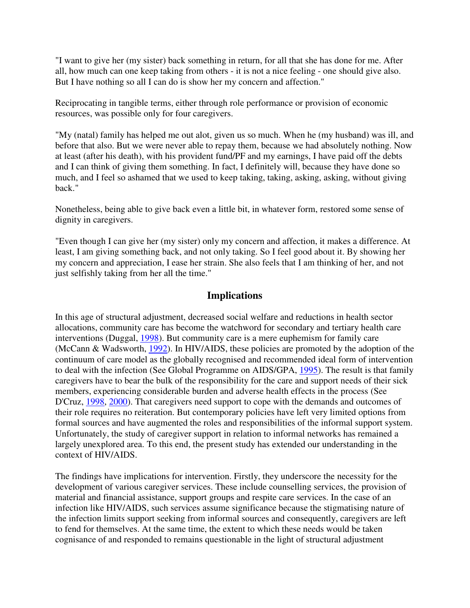"I want to give her (my sister) back something in return, for all that she has done for me. After all, how much can one keep taking from others - it is not a nice feeling - one should give also. But I have nothing so all I can do is show her my concern and affection."

Reciprocating in tangible terms, either through role performance or provision of economic resources, was possible only for four caregivers.

"My (natal) family has helped me out alot, given us so much. When he (my husband) was ill, and before that also. But we were never able to repay them, because we had absolutely nothing. Now at least (after his death), with his provident fund/PF and my earnings, I have paid off the debts and I can think of giving them something. In fact, I definitely will, because they have done so much, and I feel so ashamed that we used to keep taking, taking, asking, asking, without giving back."

Nonetheless, being able to give back even a little bit, in whatever form, restored some sense of dignity in caregivers.

"Even though I can give her (my sister) only my concern and affection, it makes a difference. At least, I am giving something back, and not only taking. So I feel good about it. By showing her my concern and appreciation, I ease her strain. She also feels that I am thinking of her, and not just selfishly taking from her all the time."

## **Implications**

In this age of structural adjustment, decreased social welfare and reductions in health sector allocations, community care has become the watchword for secondary and tertiary health care interventions (Duggal, 1998). But community care is a mere euphemism for family care (McCann & Wadsworth, 1992). In HIV/AIDS, these policies are promoted by the adoption of the continuum of care model as the globally recognised and recommended ideal form of intervention to deal with the infection (See Global Programme on AIDS/GPA, 1995). The result is that family caregivers have to bear the bulk of the responsibility for the care and support needs of their sick members, experiencing considerable burden and adverse health effects in the process (See D'Cruz, 1998, 2000). That caregivers need support to cope with the demands and outcomes of their role requires no reiteration. But contemporary policies have left very limited options from formal sources and have augmented the roles and responsibilities of the informal support system. Unfortunately, the study of caregiver support in relation to informal networks has remained a largely unexplored area. To this end, the present study has extended our understanding in the context of HIV/AIDS.

The findings have implications for intervention. Firstly, they underscore the necessity for the development of various caregiver services. These include counselling services, the provision of material and financial assistance, support groups and respite care services. In the case of an infection like HIV/AIDS, such services assume significance because the stigmatising nature of the infection limits support seeking from informal sources and consequently, caregivers are left to fend for themselves. At the same time, the extent to which these needs would be taken cognisance of and responded to remains questionable in the light of structural adjustment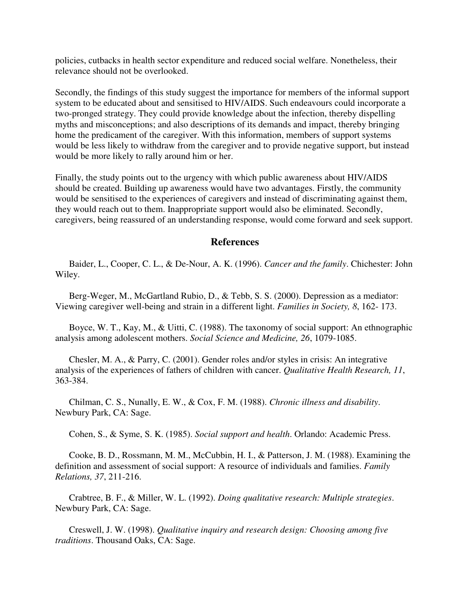policies, cutbacks in health sector expenditure and reduced social welfare. Nonetheless, their relevance should not be overlooked.

Secondly, the findings of this study suggest the importance for members of the informal support system to be educated about and sensitised to HIV/AIDS. Such endeavours could incorporate a two-pronged strategy. They could provide knowledge about the infection, thereby dispelling myths and misconceptions; and also descriptions of its demands and impact, thereby bringing home the predicament of the caregiver. With this information, members of support systems would be less likely to withdraw from the caregiver and to provide negative support, but instead would be more likely to rally around him or her.

Finally, the study points out to the urgency with which public awareness about HIV/AIDS should be created. Building up awareness would have two advantages. Firstly, the community would be sensitised to the experiences of caregivers and instead of discriminating against them, they would reach out to them. Inappropriate support would also be eliminated. Secondly, caregivers, being reassured of an understanding response, would come forward and seek support.

#### **References**

 Baider, L., Cooper, C. L., & De-Nour, A. K. (1996). *Cancer and the family*. Chichester: John Wiley.

 Berg-Weger, M., McGartland Rubio, D., & Tebb, S. S. (2000). Depression as a mediator: Viewing caregiver well-being and strain in a different light. *Families in Society, 8*, 162- 173.

 Boyce, W. T., Kay, M., & Uitti, C. (1988). The taxonomy of social support: An ethnographic analysis among adolescent mothers. *Social Science and Medicine, 26*, 1079-1085.

 Chesler, M. A., & Parry, C. (2001). Gender roles and/or styles in crisis: An integrative analysis of the experiences of fathers of children with cancer. *Qualitative Health Research, 11*, 363-384.

 Chilman, C. S., Nunally, E. W., & Cox, F. M. (1988). *Chronic illness and disability*. Newbury Park, CA: Sage.

Cohen, S., & Syme, S. K. (1985). *Social support and health*. Orlando: Academic Press.

 Cooke, B. D., Rossmann, M. M., McCubbin, H. I., & Patterson, J. M. (1988). Examining the definition and assessment of social support: A resource of individuals and families. *Family Relations, 37*, 211-216.

 Crabtree, B. F., & Miller, W. L. (1992). *Doing qualitative research: Multiple strategies*. Newbury Park, CA: Sage.

 Creswell, J. W. (1998). *Qualitative inquiry and research design: Choosing among five traditions*. Thousand Oaks, CA: Sage.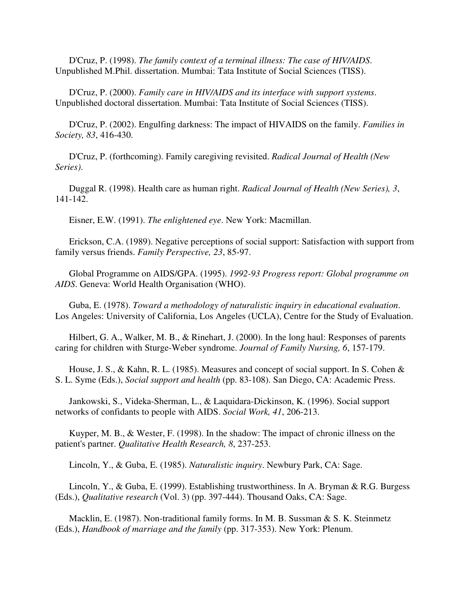D'Cruz, P. (1998). *The family context of a terminal illness: The case of HIV/AIDS*. Unpublished M.Phil. dissertation. Mumbai: Tata Institute of Social Sciences (TISS).

 D'Cruz, P. (2000). *Family care in HIV/AIDS and its interface with support systems*. Unpublished doctoral dissertation. Mumbai: Tata Institute of Social Sciences (TISS).

 D'Cruz, P. (2002). Engulfing darkness: The impact of HIVAIDS on the family. *Families in Society, 83*, 416-430.

 D'Cruz, P. (forthcoming). Family caregiving revisited. *Radical Journal of Health (New Series)*.

 Duggal R. (1998). Health care as human right. *Radical Journal of Health (New Series), 3*, 141-142.

Eisner, E.W. (1991). *The enlightened eye*. New York: Macmillan.

 Erickson, C.A. (1989). Negative perceptions of social support: Satisfaction with support from family versus friends. *Family Perspective, 23*, 85-97.

 Global Programme on AIDS/GPA. (1995). *1992-93 Progress report: Global programme on AIDS*. Geneva: World Health Organisation (WHO).

 Guba, E. (1978). *Toward a methodology of naturalistic inquiry in educational evaluation*. Los Angeles: University of California, Los Angeles (UCLA), Centre for the Study of Evaluation.

 Hilbert, G. A., Walker, M. B., & Rinehart, J. (2000). In the long haul: Responses of parents caring for children with Sturge-Weber syndrome. *Journal of Family Nursing, 6*, 157-179.

 House, J. S., & Kahn, R. L. (1985). Measures and concept of social support. In S. Cohen & S. L. Syme (Eds.), *Social support and health* (pp. 83-108). San Diego, CA: Academic Press.

 Jankowski, S., Videka-Sherman, L., & Laquidara-Dickinson, K. (1996). Social support networks of confidants to people with AIDS. *Social Work, 41*, 206-213.

 Kuyper, M. B., & Wester, F. (1998). In the shadow: The impact of chronic illness on the patient's partner. *Qualitative Health Research, 8*, 237-253.

Lincoln, Y., & Guba, E. (1985). *Naturalistic inquiry*. Newbury Park, CA: Sage.

 Lincoln, Y., & Guba, E. (1999). Establishing trustworthiness. In A. Bryman & R.G. Burgess (Eds.), *Qualitative research* (Vol. 3) (pp. 397-444). Thousand Oaks, CA: Sage.

 Macklin, E. (1987). Non-traditional family forms. In M. B. Sussman & S. K. Steinmetz (Eds.), *Handbook of marriage and the family* (pp. 317-353). New York: Plenum.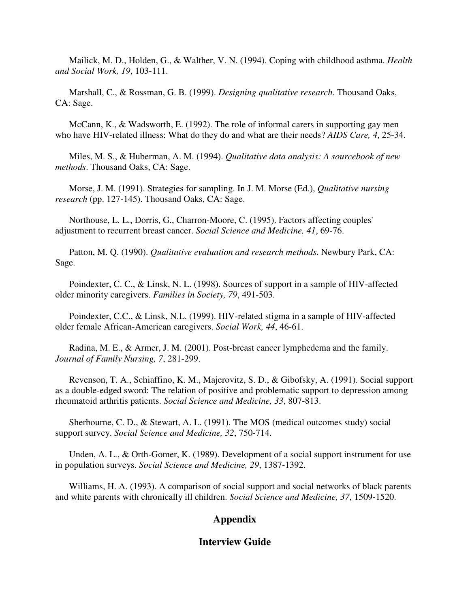Mailick, M. D., Holden, G., & Walther, V. N. (1994). Coping with childhood asthma. *Health and Social Work, 19*, 103-111.

 Marshall, C., & Rossman, G. B. (1999). *Designing qualitative research*. Thousand Oaks, CA: Sage.

 McCann, K., & Wadsworth, E. (1992). The role of informal carers in supporting gay men who have HIV-related illness: What do they do and what are their needs? *AIDS Care, 4*, 25-34.

 Miles, M. S., & Huberman, A. M. (1994). *Qualitative data analysis: A sourcebook of new methods*. Thousand Oaks, CA: Sage.

 Morse, J. M. (1991). Strategies for sampling. In J. M. Morse (Ed.), *Qualitative nursing research* (pp. 127-145). Thousand Oaks, CA: Sage.

 Northouse, L. L., Dorris, G., Charron-Moore, C. (1995). Factors affecting couples' adjustment to recurrent breast cancer. *Social Science and Medicine, 41*, 69-76.

 Patton, M. Q. (1990). *Qualitative evaluation and research methods*. Newbury Park, CA: Sage.

 Poindexter, C. C., & Linsk, N. L. (1998). Sources of support in a sample of HIV-affected older minority caregivers. *Families in Society, 79*, 491-503.

 Poindexter, C.C., & Linsk, N.L. (1999). HIV-related stigma in a sample of HIV-affected older female African-American caregivers. *Social Work, 44*, 46-61.

 Radina, M. E., & Armer, J. M. (2001). Post-breast cancer lymphedema and the family. *Journal of Family Nursing, 7*, 281-299.

 Revenson, T. A., Schiaffino, K. M., Majerovitz, S. D., & Gibofsky, A. (1991). Social support as a double-edged sword: The relation of positive and problematic support to depression among rheumatoid arthritis patients. *Social Science and Medicine, 33*, 807-813.

 Sherbourne, C. D., & Stewart, A. L. (1991). The MOS (medical outcomes study) social support survey. *Social Science and Medicine, 32*, 750-714.

 Unden, A. L., & Orth-Gomer, K. (1989). Development of a social support instrument for use in population surveys. *Social Science and Medicine, 29*, 1387-1392.

 Williams, H. A. (1993). A comparison of social support and social networks of black parents and white parents with chronically ill children. *Social Science and Medicine, 37*, 1509-1520.

# **Appendix**

## **Interview Guide**